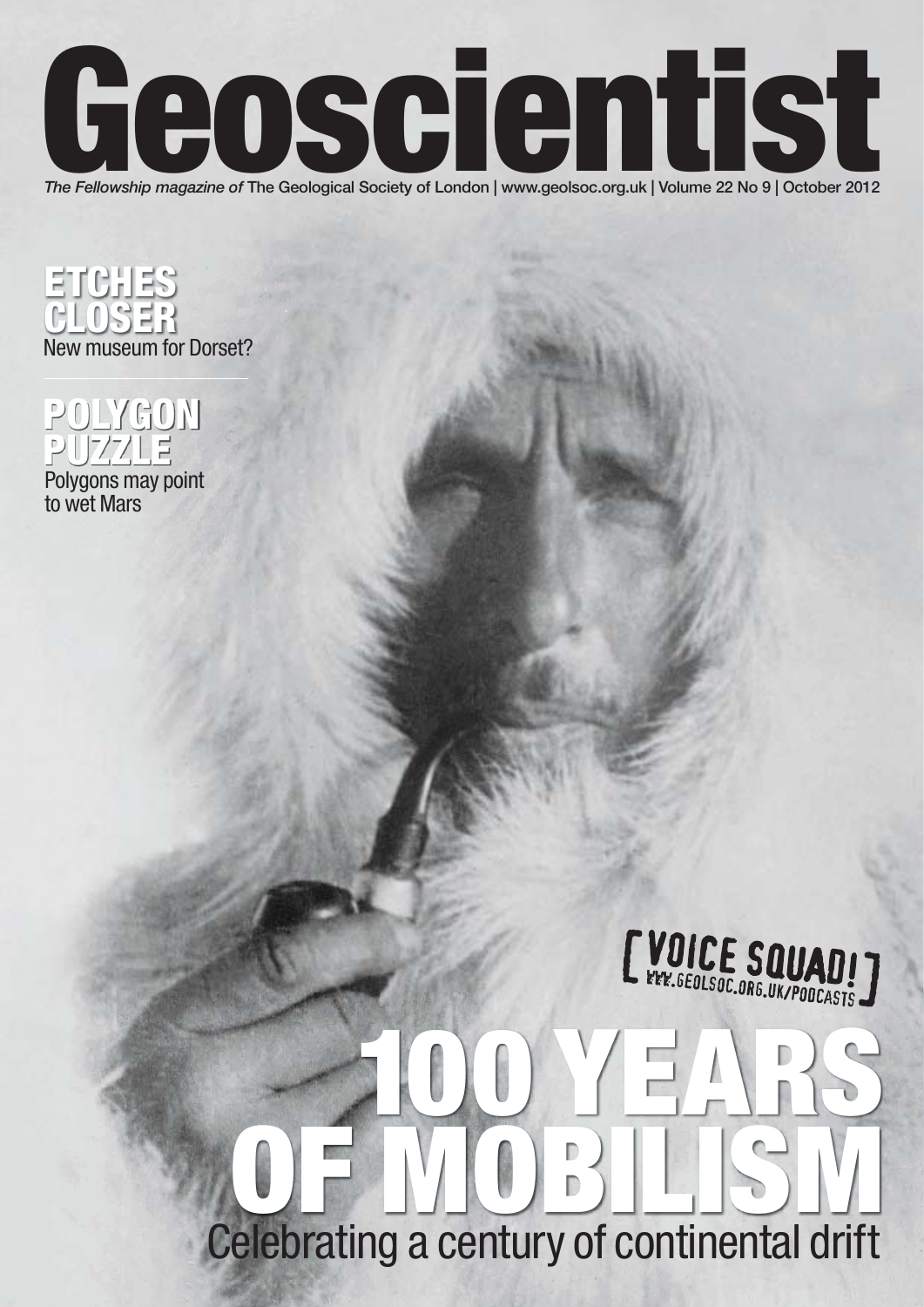

ETCHES CLOSER New museum for Dorset?



Polygons may point to wet Mars



# 100 YEARS OF MOBILISM Celebrating a century of continental drift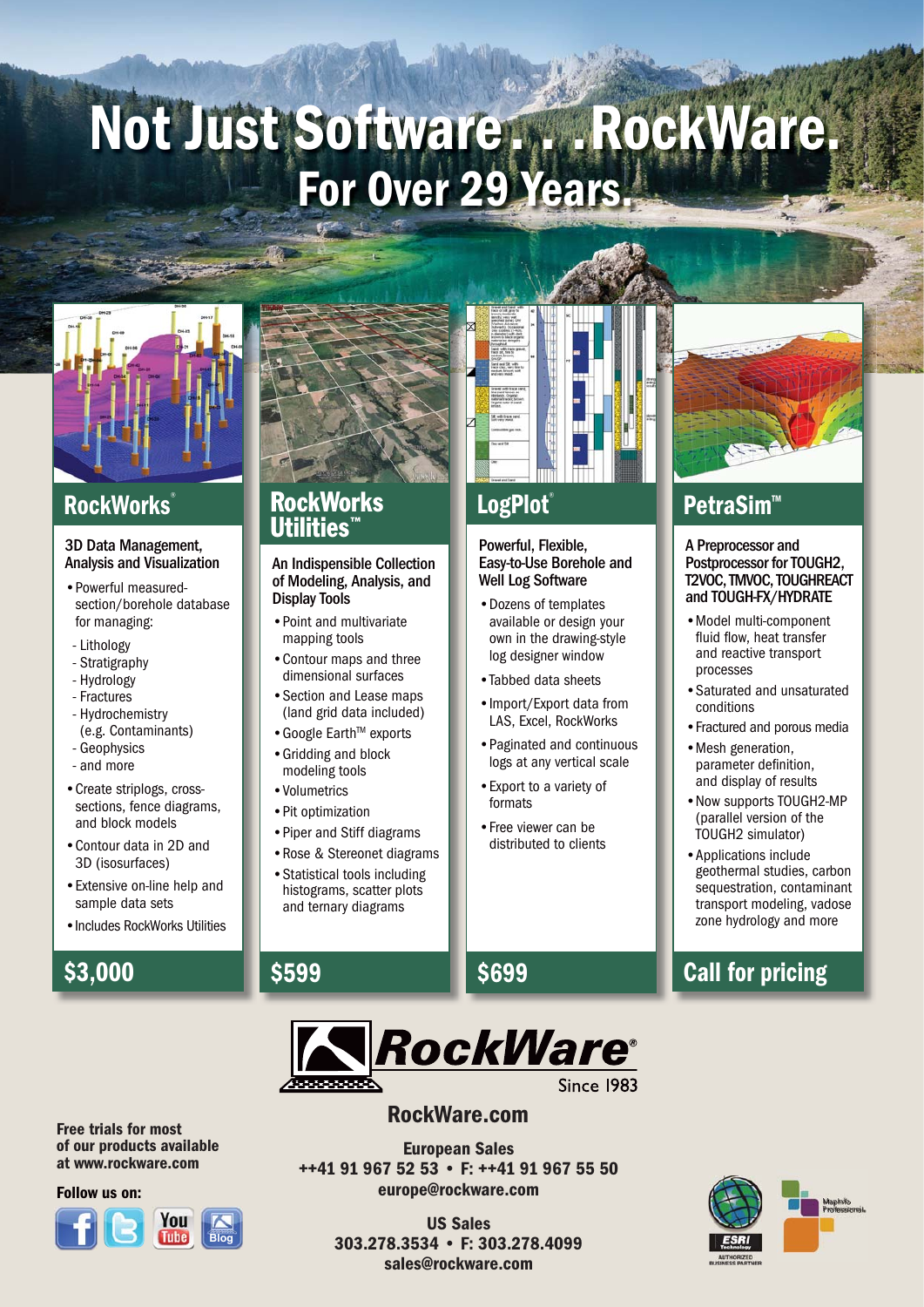## Not Just Software. . . RockWare. For Over 29 Years.



## **RockWorks**

#### 3D Data Management, Analysis and Visualization

- Powerful measuredsection/borehole database for managing:
- Lithology
- Stratigraphy
- Hydrology
- Fractures
- Hydrochemistry (e.g. Contaminants)
- Geophysics
- and more
- Create striplogs, crosssections, fence diagrams, and block models
- Contour data in 2D and 3D (isosurfaces)
- Extensive on-line help and sample data sets
- •Includes RockWorks Utilities

## \$3,000



### RockWorks Utilities™

#### An Indispensible Collection of Modeling, Analysis, and Display Tools

- Point and multivariate mapping tools
- Contour maps and three dimensional surfaces
- Section and Lease maps (land grid data included)
- Google Earth™ exports
- Gridding and block modeling tools
- Volumetrics

\$599

- Pit optimization
- Piper and Stiff diagrams • Rose & Stereonet diagrams
- Statistical tools including histograms, scatter plots and ternary diagrams

## **LogPlot**®

#### Powerful, Flexible, Easy-to-Use Borehole and Well Log Software

- Dozens of templates available or design your own in the drawing-style log designer window
- •Tabbed data sheets
- Import/Export data from LAS, Excel, RockWorks
- Paginated and continuous logs at any vertical scale
- Export to a variety of formats
- Free viewer can be distributed to clients



## PetraSim™

A Preprocessor and Postprocessor for TOUGH2. T2VOC, TMVOC, TOUGHREACT and TOUGH-FX/HYDRATE

- Model multi-component fluid flow, heat transfer and reactive transport processes
- Saturated and unsaturated conditions
- •Fractured and porous media
- Mesh generation, parameter definition. and display of results
- Now supports TOUGH2-MP (parallel version of the TOUGH2 simulator)
- Applications include geothermal studies, carbon sequestration, contaminant transport modeling, vadose zone hydrology and more

## Call for pricing



### RockWare.com

European Sales ++41 91 967 52 53 • F: ++41 91 967 55 50 europe@rockware.com

> US Sales 303.278.3534 • F: 303.278.4099 sales@rockware.com



## Free trials for most

of our products available at www.rockware.com

#### Follow us on:



## \$699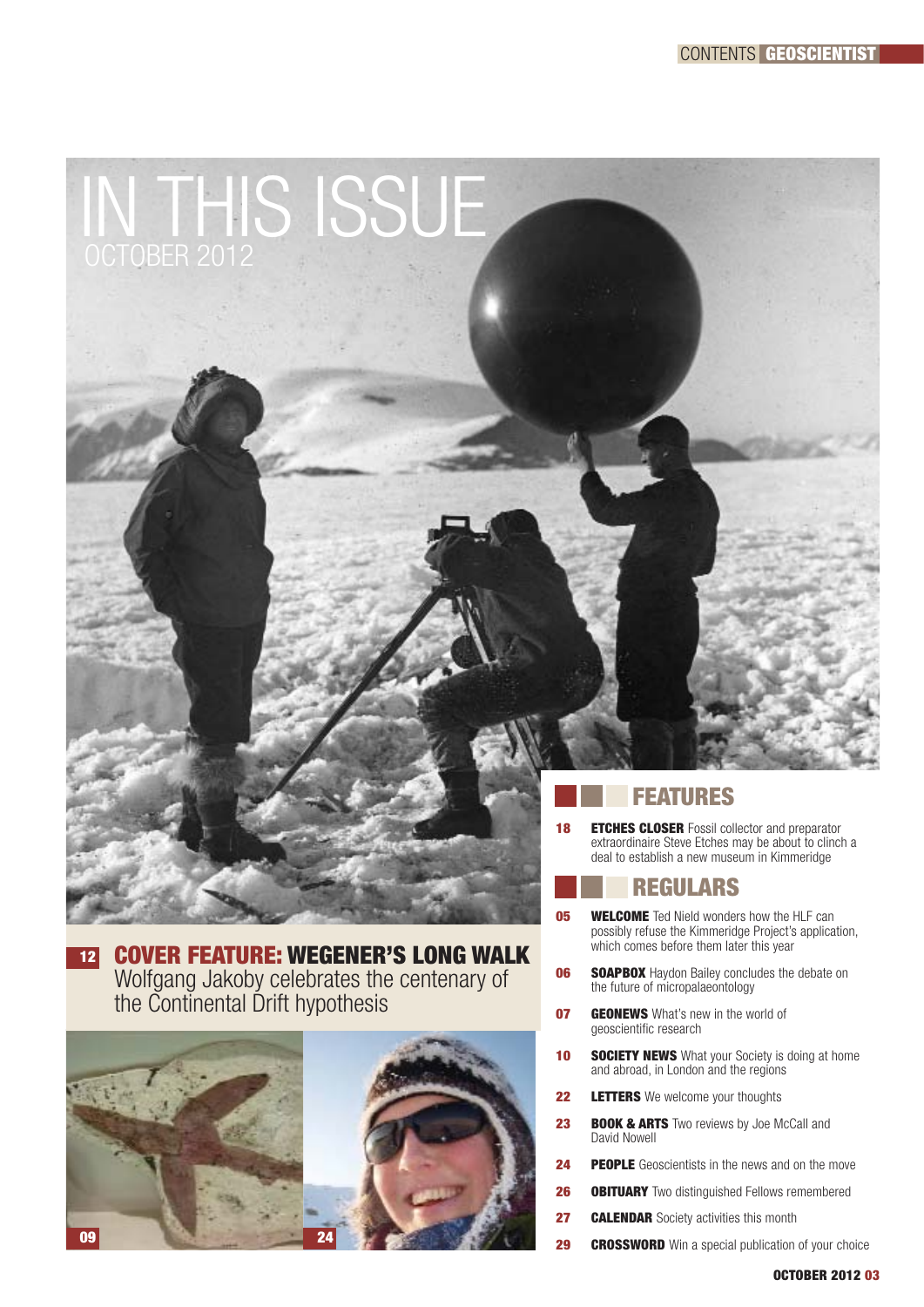

<sup>12</sup> COVER FEATURE: WEGENER'S LONG WALK Wolfgang Jakoby celebrates the centenary of

the Continental Drift hypothesis



extraordinaire Steve Etches may be about to clinch a deal to establish a new museum in Kimmeridge

### REGULARS

- **05 WELCOME** Ted Nield wonders how the HLF can possibly refuse the Kimmeridge Project's application, which comes before them later this year
- **06 SOAPBOX** Haydon Bailey concludes the debate on the future of micropalaeontology
- **07 GEONEWS** What's new in the world of geoscientific research
- **10 SOCIETY NEWS** What your Society is doing at home and abroad, in London and the regions
- **22 LETTERS** We welcome your thoughts
- 23 **BOOK & ARTS** Two reviews by Joe McCall and David Nowell
- **24 PEOPLE** Geoscientists in the news and on the move
- **26 OBITUARY** Two distinguished Fellows remembered
- **27 CALENDAR** Society activities this month
- **29 CROSSWORD** Win a special publication of your choice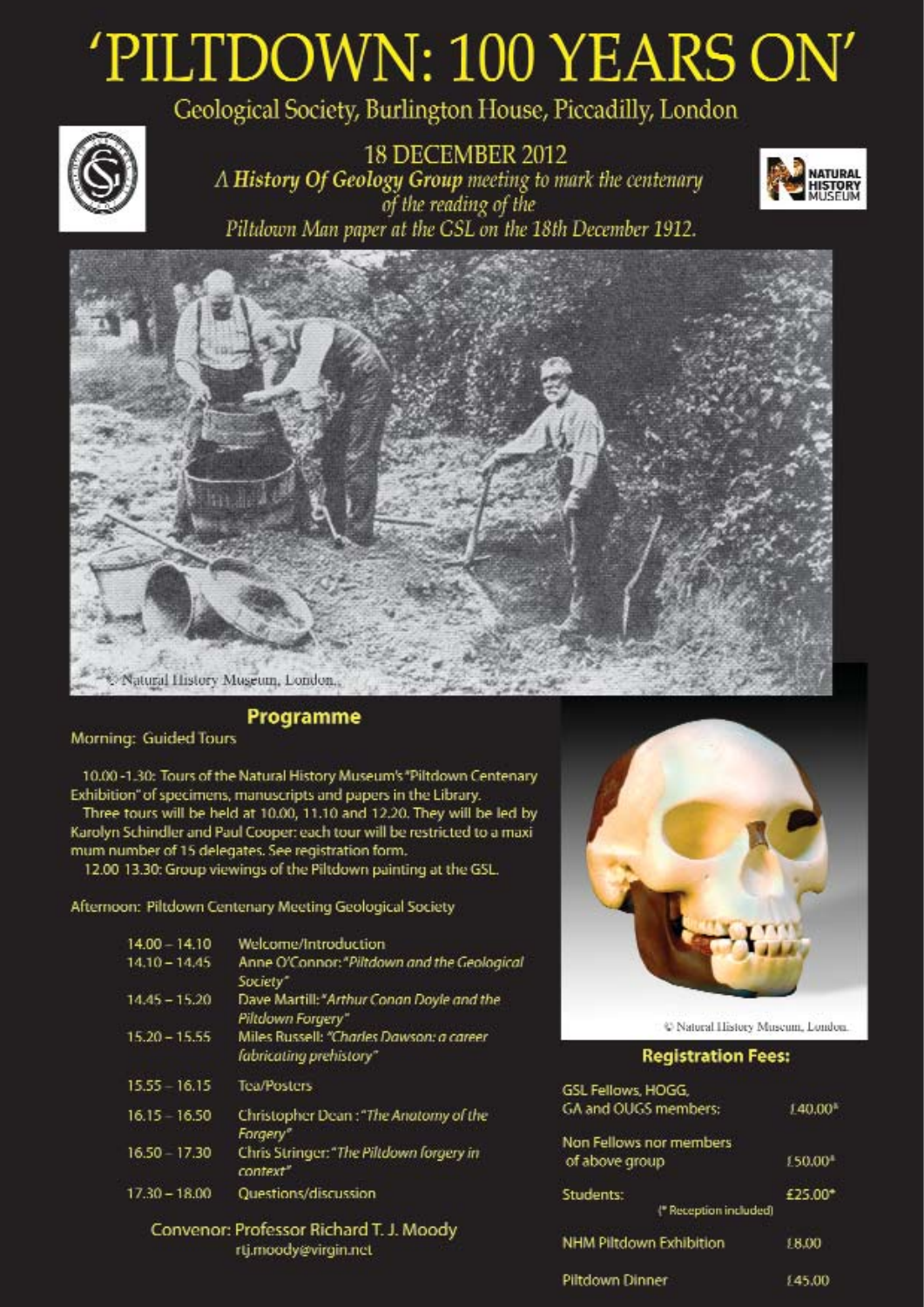## 'PILTDOWN: 100 YEARS ON' Geological Society, Burlington House, Piccadilly, London



**18 DECEMBER 2012**  $\Lambda$  History Of Geology Group meeting to mark the centenary<br>of the reading of the Piltdown Man paper at the GSL on the 18th December 1912.





### Programme

#### Morning: Guided Tours

10.00 -1.30: Tours of the Natural History Museum's "Piltdown Centenary Exhibition" of specimens, manuscripts and papers in the Library. Three tours will be held at 10.00, 11.10 and 12.20. They will be led by Karolyn Schindler and Paul Cooper: each tour will be restricted to a maximum number of 15 delegates. See registration form.

12.00 13.30: Group viewings of the Piltdown painting at the GSL.

Afternoon: Piltdown Centenary Meeting Geological Society

| $14.00 - 14.10$ | Welcome/Introduction                                                |
|-----------------|---------------------------------------------------------------------|
| $14.10 - 14.45$ | Anne O'Connor: "Piltdown and the Geological<br>Society"             |
| $14.45 - 15.20$ | Dave Martill: "Arthur Conan Doyle and the<br>Piltdown Forgery"      |
| $15.20 - 15.55$ | Miles Russell: "Charles Dawson: a career<br>fabricating prehistory" |
| 15.55 - 16.15   | <b>Tea/Posters</b>                                                  |
| 16 15 16.50     | Christopher Dean: "The Anatomy of the<br>Forgery"                   |
| 16.50 17:30     | Chris Stringer: "The Piltdown forgery in<br>context"                |
| $17.30 - 18.00$ | Questions/discussion                                                |
|                 | Convocate Drofersor Dichard T. L. Moodu                             |

rofessor Richard I. J. Moody rtj.moody@virgin.net



C Natural History Museum, London

#### **Registration Fees:**

| GSL Fellows, HOGG,<br>GA and OUGS members: | 140.00 <sup>3</sup> |
|--------------------------------------------|---------------------|
| Non Fellows nor members<br>of above group  | 150.00              |
| Students:<br>  Reception included          | £25.00*             |
| NHM Piltdown Exhibition                    | 18.00               |
| <b>Piltriourn Dinner</b>                   | 145.DD              |